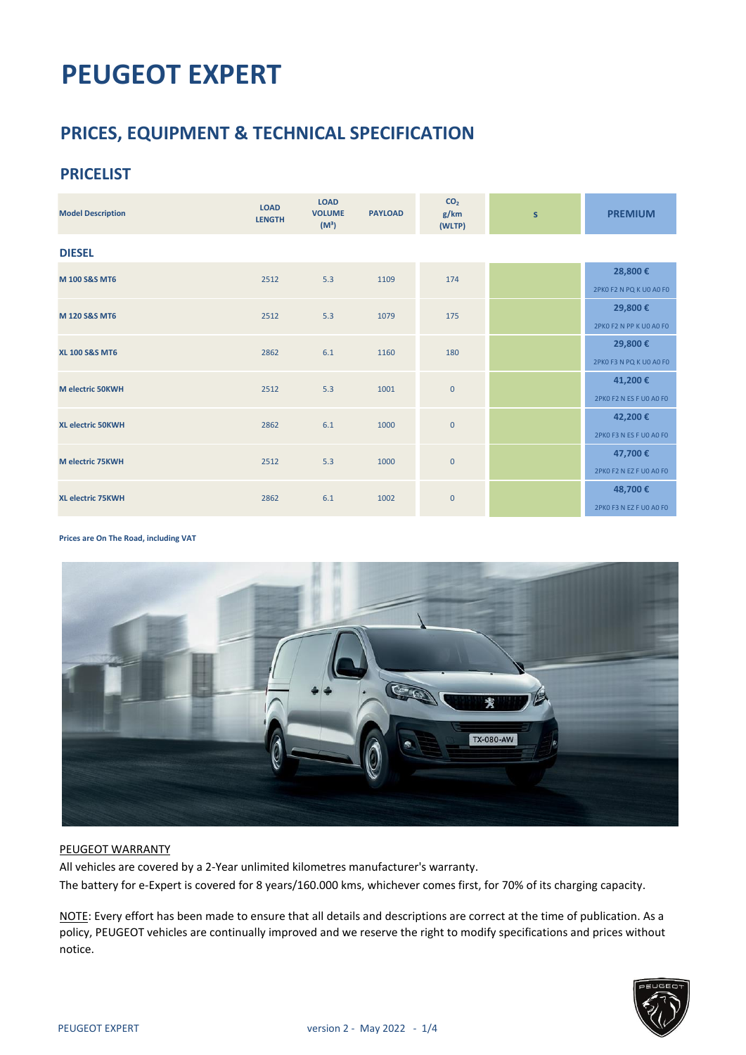# **PEUGEOT EXPERT**

# **PRICES, EQUIPMENT & TECHNICAL SPECIFICATION**

### **PRICELIST**

| <b>Model Description</b>  | <b>LOAD</b><br><b>LENGTH</b> | <b>LOAD</b><br><b>VOLUME</b><br>$(M^3)$ | <b>PAYLOAD</b> | CO <sub>2</sub><br>g/km<br>(WLTP) | $\mathsf{s}$ | <b>PREMIUM</b>                     |
|---------------------------|------------------------------|-----------------------------------------|----------------|-----------------------------------|--------------|------------------------------------|
| <b>DIESEL</b>             |                              |                                         |                |                                   |              |                                    |
| M 100 S&S MT6             | 2512                         | 5.3                                     | 1109           | 174                               |              | 28,800€<br>2PK0 F2 N PQ K U0 A0 F0 |
| M 120 S&S MT6             | 2512                         | 5.3                                     | 1079           | 175                               |              | 29,800€<br>2PKO F2 N PP K UO AO FO |
| <b>XL 100 S&amp;S MT6</b> | 2862                         | 6.1                                     | 1160           | 180                               |              | 29,800€<br>2PKO F3 N PQ K U0 A0 F0 |
| M electric 50KWH          | 2512                         | 5.3                                     | 1001           | $\mathbf{0}$                      |              | 41,200€<br>2PKO F2 N ES F UO AO FO |
| <b>XL electric 50KWH</b>  | 2862                         | 6.1                                     | 1000           | $\mathbf 0$                       |              | 42,200€<br>2PKO F3 N ES F UO AO FO |
| M electric 75KWH          | 2512                         | 5.3                                     | 1000           | $\mathbf{0}$                      |              | 47,700€<br>2PKO F2 N EZ F UO AO FO |
| <b>XL electric 75KWH</b>  | 2862                         | 6.1                                     | 1002           | $\mathbf 0$                       |              | 48,700€<br>2PKO F3 N EZ F UO AO FO |

#### **Prices are On The Road, including VAT**



#### PEUGEOT WARRANTY

All vehicles are covered by a 2-Year unlimited kilometres manufacturer's warranty. The battery for e-Expert is covered for 8 years/160.000 kms, whichever comes first, for 70% of its charging capacity.

NOTE: Every effort has been made to ensure that all details and descriptions are correct at the time of publication. As a policy, PEUGEOT vehicles are continually improved and we reserve the right to modify specifications and prices without notice.

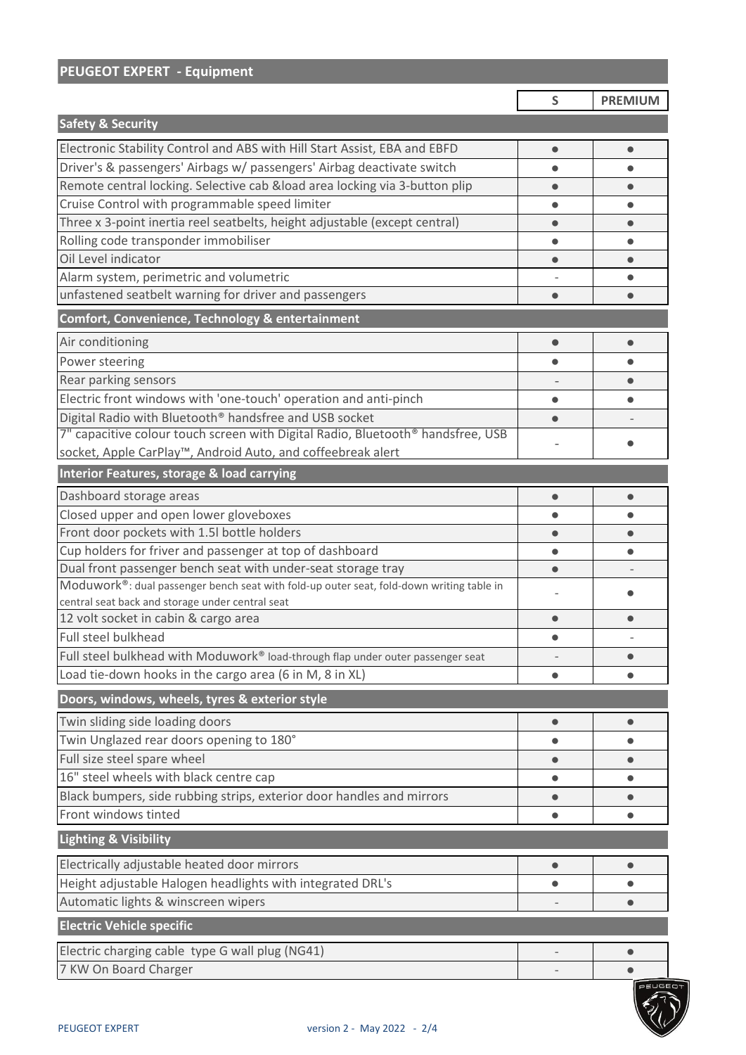## **PEUGEOT EXPERT - Equipment**

**S PREMIUM**

| <b>Safety &amp; Security</b>                                                                                                                             |           |           |
|----------------------------------------------------------------------------------------------------------------------------------------------------------|-----------|-----------|
| Electronic Stability Control and ABS with Hill Start Assist, EBA and EBFD                                                                                | $\bullet$ |           |
| Driver's & passengers' Airbags w/ passengers' Airbag deactivate switch                                                                                   |           |           |
| Remote central locking. Selective cab &load area locking via 3-button plip                                                                               |           |           |
| Cruise Control with programmable speed limiter                                                                                                           |           |           |
| Three x 3-point inertia reel seatbelts, height adjustable (except central)                                                                               | $\bullet$ |           |
| Rolling code transponder immobiliser                                                                                                                     |           |           |
| Oil Level indicator                                                                                                                                      | ●         |           |
| Alarm system, perimetric and volumetric                                                                                                                  |           |           |
| unfastened seatbelt warning for driver and passengers                                                                                                    |           |           |
| Comfort, Convenience, Technology & entertainment                                                                                                         |           |           |
| Air conditioning                                                                                                                                         | $\bullet$ | $\bullet$ |
| Power steering                                                                                                                                           |           |           |
| Rear parking sensors                                                                                                                                     |           |           |
| Electric front windows with 'one-touch' operation and anti-pinch                                                                                         | $\bullet$ |           |
| Digital Radio with Bluetooth® handsfree and USB socket                                                                                                   |           |           |
| 7" capacitive colour touch screen with Digital Radio, Bluetooth® handsfree, USB                                                                          |           |           |
| socket, Apple CarPlay™, Android Auto, and coffeebreak alert                                                                                              |           |           |
| Interior Features, storage & load carrying                                                                                                               |           |           |
| Dashboard storage areas                                                                                                                                  |           |           |
| Closed upper and open lower gloveboxes                                                                                                                   |           |           |
| Front door pockets with 1.5I bottle holders                                                                                                              | $\bullet$ |           |
| Cup holders for friver and passenger at top of dashboard                                                                                                 | $\bullet$ |           |
| Dual front passenger bench seat with under-seat storage tray<br>Moduwork®: dual passenger bench seat with fold-up outer seat, fold-down writing table in | $\bullet$ |           |
| central seat back and storage under central seat                                                                                                         |           |           |
| 12 volt socket in cabin & cargo area                                                                                                                     | $\bullet$ |           |
| Full steel bulkhead                                                                                                                                      |           |           |
| Full steel bulkhead with Moduwork® load-through flap under outer passenger seat                                                                          |           | $\bullet$ |
| Load tie-down hooks in the cargo area (6 in M, 8 in XL)                                                                                                  |           |           |
| Doors, windows, wheels, tyres & exterior style                                                                                                           |           |           |
| Twin sliding side loading doors                                                                                                                          | $\bullet$ | $\bullet$ |
| Twin Unglazed rear doors opening to 180°                                                                                                                 | $\bullet$ |           |
| Full size steel spare wheel                                                                                                                              |           |           |
| 16" steel wheels with black centre cap                                                                                                                   |           | $\bullet$ |
| Black bumpers, side rubbing strips, exterior door handles and mirrors                                                                                    | $\bullet$ | $\bullet$ |
| Front windows tinted                                                                                                                                     | $\bullet$ | $\bullet$ |
| <b>Lighting &amp; Visibility</b>                                                                                                                         |           |           |
| Electrically adjustable heated door mirrors                                                                                                              | $\bullet$ | $\bullet$ |
| Height adjustable Halogen headlights with integrated DRL's                                                                                               | $\bullet$ |           |
| Automatic lights & winscreen wipers                                                                                                                      |           |           |
| <b>Electric Vehicle specific</b>                                                                                                                         |           |           |
|                                                                                                                                                          |           |           |
| Electric charging cable type G wall plug (NG41)<br>7 KW On Board Charger                                                                                 |           | $\bullet$ |
|                                                                                                                                                          |           |           |

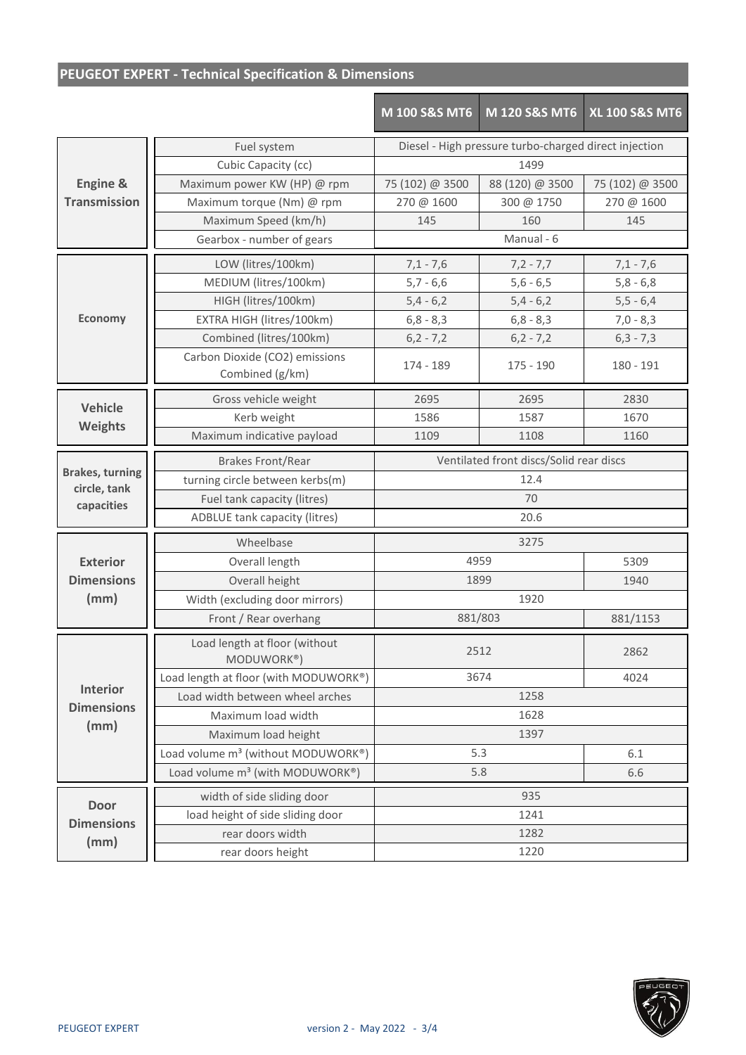|                                        |                                                   | M 100 S&S MT6                                         | M 120 S&S MT6   | <b>XL 100 S&amp;S MT6</b> |  |
|----------------------------------------|---------------------------------------------------|-------------------------------------------------------|-----------------|---------------------------|--|
|                                        | Fuel system                                       | Diesel - High pressure turbo-charged direct injection |                 |                           |  |
|                                        | Cubic Capacity (cc)                               | 1499                                                  |                 |                           |  |
| <b>Engine &amp;</b>                    | Maximum power KW (HP) @ rpm                       | 75 (102) @ 3500                                       | 88 (120) @ 3500 | 75 (102) @ 3500           |  |
| <b>Transmission</b>                    | Maximum torque (Nm) @ rpm                         | 270 @ 1600                                            | 300 @ 1750      | 270 @ 1600                |  |
|                                        | Maximum Speed (km/h)                              | 145                                                   | 160             | 145                       |  |
|                                        | Gearbox - number of gears                         | Manual - 6                                            |                 |                           |  |
|                                        | LOW (litres/100km)                                | $7,1 - 7,6$<br>$7,2 - 7,7$                            |                 | $7,1 - 7,6$               |  |
|                                        | MEDIUM (litres/100km)                             | $5,7 - 6,6$                                           | $5,6 - 6,5$     | $5,8 - 6,8$               |  |
|                                        | HIGH (litres/100km)                               | $5,4 - 6,2$                                           | $5,4 - 6,2$     | $5, 5 - 6, 4$             |  |
| <b>Economy</b>                         | EXTRA HIGH (litres/100km)                         | $6,8 - 8,3$                                           | $6,8 - 8,3$     | $7,0 - 8,3$               |  |
|                                        | Combined (litres/100km)                           | $6, 2 - 7, 2$                                         | $6,2 - 7,2$     | $6,3 - 7,3$               |  |
|                                        | Carbon Dioxide (CO2) emissions<br>Combined (g/km) | 174 - 189                                             | $175 - 190$     | 180 - 191                 |  |
|                                        | Gross vehicle weight                              | 2695                                                  | 2695            | 2830                      |  |
| Vehicle                                | Kerb weight                                       | 1586                                                  | 1587            | 1670                      |  |
| <b>Weights</b>                         | Maximum indicative payload                        | 1109                                                  | 1108            | 1160                      |  |
|                                        | <b>Brakes Front/Rear</b>                          | Ventilated front discs/Solid rear discs               |                 |                           |  |
| <b>Brakes, turning</b><br>circle, tank | turning circle between kerbs(m)                   | 12.4                                                  |                 |                           |  |
| capacities                             | Fuel tank capacity (litres)                       | 70                                                    |                 |                           |  |
|                                        | ADBLUE tank capacity (litres)                     | 20.6                                                  |                 |                           |  |
|                                        | Wheelbase                                         | 3275                                                  |                 |                           |  |
| <b>Exterior</b>                        | Overall length                                    | 4959                                                  | 5309            |                           |  |
| <b>Dimensions</b>                      | Overall height                                    | 1899                                                  |                 | 1940                      |  |
| (mm)                                   | Width (excluding door mirrors)                    |                                                       | 1920            |                           |  |
|                                        | Front / Rear overhang                             | 881/803                                               | 881/1153        |                           |  |
| <b>Interior</b><br><b>Dimensions</b>   | Load length at floor (without<br>MODUWORK®)       | 2512                                                  | 2862            |                           |  |
|                                        | Load length at floor (with MODUWORK®)             | 3674                                                  |                 | 4024                      |  |
|                                        | Load width between wheel arches                   |                                                       |                 |                           |  |
|                                        | Maximum load width                                | 1628                                                  |                 |                           |  |
| (mm)                                   | Maximum load height                               |                                                       |                 |                           |  |
|                                        | Load volume m <sup>3</sup> (without MODUWORK®)    | 5.3                                                   | 6.1             |                           |  |
|                                        | Load volume m <sup>3</sup> (with MODUWORK®)       | 5.8                                                   | 6.6             |                           |  |
|                                        | width of side sliding door                        | 935                                                   |                 |                           |  |
| <b>Door</b>                            | load height of side sliding door                  | 1241                                                  |                 |                           |  |
| <b>Dimensions</b><br>(mm)              | rear doors width                                  | 1282                                                  |                 |                           |  |
|                                        | rear doors height                                 | 1220                                                  |                 |                           |  |

### **PEUGEOT EXPERT - Technical Specification & Dimensions**